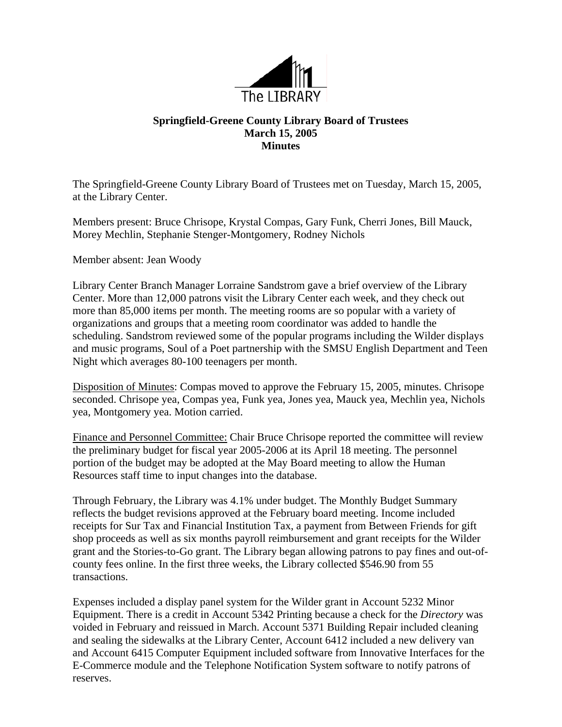

## **Springfield-Greene County Library Board of Trustees March 15, 2005 Minutes**

The Springfield-Greene County Library Board of Trustees met on Tuesday, March 15, 2005, at the Library Center.

Members present: Bruce Chrisope, Krystal Compas, Gary Funk, Cherri Jones, Bill Mauck, Morey Mechlin, Stephanie Stenger-Montgomery, Rodney Nichols

Member absent: Jean Woody

Library Center Branch Manager Lorraine Sandstrom gave a brief overview of the Library Center. More than 12,000 patrons visit the Library Center each week, and they check out more than 85,000 items per month. The meeting rooms are so popular with a variety of organizations and groups that a meeting room coordinator was added to handle the scheduling. Sandstrom reviewed some of the popular programs including the Wilder displays and music programs, Soul of a Poet partnership with the SMSU English Department and Teen Night which averages 80-100 teenagers per month.

Disposition of Minutes: Compas moved to approve the February 15, 2005, minutes. Chrisope seconded. Chrisope yea, Compas yea, Funk yea, Jones yea, Mauck yea, Mechlin yea, Nichols yea, Montgomery yea. Motion carried.

Finance and Personnel Committee: Chair Bruce Chrisope reported the committee will review the preliminary budget for fiscal year 2005-2006 at its April 18 meeting. The personnel portion of the budget may be adopted at the May Board meeting to allow the Human Resources staff time to input changes into the database.

Through February, the Library was 4.1% under budget. The Monthly Budget Summary reflects the budget revisions approved at the February board meeting. Income included receipts for Sur Tax and Financial Institution Tax, a payment from Between Friends for gift shop proceeds as well as six months payroll reimbursement and grant receipts for the Wilder grant and the Stories-to-Go grant. The Library began allowing patrons to pay fines and out-ofcounty fees online. In the first three weeks, the Library collected \$546.90 from 55 transactions.

Expenses included a display panel system for the Wilder grant in Account 5232 Minor Equipment. There is a credit in Account 5342 Printing because a check for the *Directory* was voided in February and reissued in March. Account 5371 Building Repair included cleaning and sealing the sidewalks at the Library Center, Account 6412 included a new delivery van and Account 6415 Computer Equipment included software from Innovative Interfaces for the E-Commerce module and the Telephone Notification System software to notify patrons of reserves.